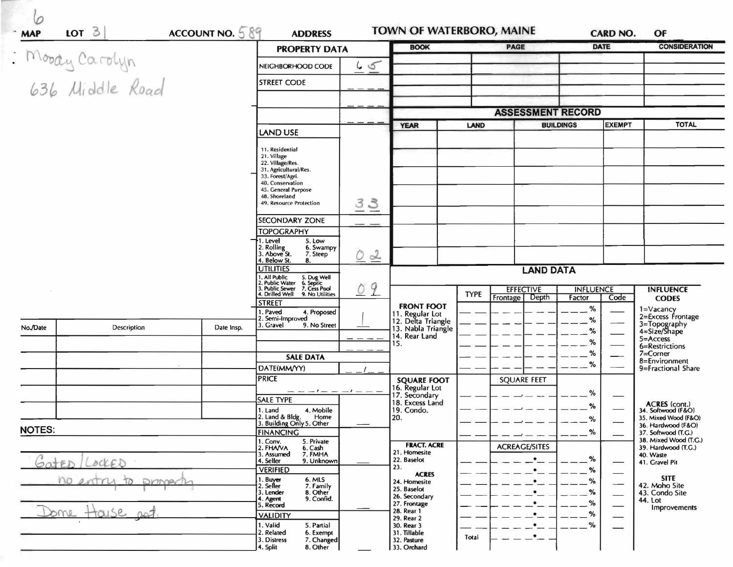| : Moody Carolyn<br>636 Middle Road |                                        |                                                 | <b>PROPERTY DATA</b>                                                                                   |                              | <b>BOOK</b>                                                | <b>PAGE</b>                          |                  | <b>DATE</b>                  | <b>CONSIDERATION</b>                         |
|------------------------------------|----------------------------------------|-------------------------------------------------|--------------------------------------------------------------------------------------------------------|------------------------------|------------------------------------------------------------|--------------------------------------|------------------|------------------------------|----------------------------------------------|
|                                    |                                        |                                                 | NEIGHBORHOOD CODE                                                                                      | 65                           |                                                            |                                      |                  |                              |                                              |
|                                    |                                        |                                                 | <b>STREET CODE</b>                                                                                     |                              |                                                            |                                      |                  |                              |                                              |
|                                    |                                        |                                                 |                                                                                                        |                              |                                                            |                                      |                  |                              |                                              |
|                                    |                                        |                                                 |                                                                                                        |                              | <b>ASSESSMENT RECORD</b>                                   |                                      |                  |                              |                                              |
|                                    |                                        |                                                 | <b>LAND USE</b>                                                                                        |                              | <b>YEAR</b>                                                | <b>LAND</b>                          | <b>BUILDINGS</b> | <b>EXEMPT</b>                | <b>TOTAL</b>                                 |
|                                    |                                        |                                                 | 11. Residential                                                                                        |                              |                                                            |                                      |                  |                              |                                              |
|                                    |                                        |                                                 | 21. Village<br>22. Village/Res.                                                                        |                              |                                                            |                                      |                  |                              |                                              |
|                                    |                                        |                                                 | 31. Agricultural/Res.<br>33. Forest/Agri.                                                              |                              |                                                            |                                      |                  |                              |                                              |
|                                    |                                        |                                                 | 40. Conservation<br>45. General Purpose<br>48. Shoreland                                               |                              |                                                            |                                      |                  |                              |                                              |
|                                    |                                        |                                                 | 49. Resource Protection                                                                                | 33                           |                                                            |                                      |                  |                              |                                              |
|                                    |                                        |                                                 | <b>SECONDARY ZONE</b>                                                                                  |                              |                                                            |                                      |                  |                              |                                              |
|                                    |                                        |                                                 | <b>TOPOGRAPHY</b><br>1. Level<br>5. Low                                                                |                              |                                                            |                                      |                  |                              |                                              |
|                                    |                                        |                                                 | 2. Rolling<br>3. Above St.<br>6. Swampy<br>7. Steep                                                    | $\alpha$<br>0                |                                                            |                                      |                  |                              |                                              |
|                                    | 4. Below St.<br>8.<br><b>UTILITIES</b> |                                                 |                                                                                                        |                              | <b>LAND DATA</b>                                           |                                      |                  |                              |                                              |
|                                    |                                        |                                                 | 1. All Public 5. Dug Well<br>2. Public Water 6. Septic<br>3. Public Sewer 7. Cess Pool<br>9<br>$\circ$ |                              |                                                            | <b>EFFECTIVE</b><br><b>INFLUENCE</b> |                  |                              | <b>INFLUENCE</b>                             |
|                                    |                                        |                                                 | 4. Drilled Well 9. No Utilities<br><b>STREET</b>                                                       |                              |                                                            | <b>TYPE</b><br>Depth<br>Frontage     | Factor           | Code                         | <b>CODES</b>                                 |
|                                    |                                        |                                                 | 1. Paved<br>4. Proposed<br>2. Semi-Improved                                                            |                              | <b>FRONT FOOT</b><br>11. Regular Lot<br>12. Delta Triangle |                                      | %<br>%           |                              | 1=Vacancy<br>2=Excess Frontage               |
| No./Date                           | Description                            | Date Insp.                                      | 3. Gravel<br>9. No Street                                                                              |                              | 13. Nabla Triangle<br>14. Rear Land                        |                                      | %                |                              | 3=Topography<br>4=Size/Shape                 |
|                                    |                                        |                                                 |                                                                                                        |                              | 15.                                                        |                                      | %                |                              | 5=Access<br>6=Restrictions                   |
|                                    |                                        |                                                 | <b>SALE DATA</b>                                                                                       |                              |                                                            |                                      | %<br>%           |                              | 7=Corner<br>8=Environment                    |
|                                    |                                        |                                                 | DATE(MM/YY)<br><b>PRICE</b>                                                                            |                              | <b>SQUARE FOOT</b>                                         | <b>SQUARE FEET</b>                   |                  |                              | 9=Fractional Share                           |
|                                    |                                        |                                                 | $-- -1-- -1---$                                                                                        |                              | 16. Regular Lot<br>17. Secondary                           |                                      | %                |                              |                                              |
|                                    |                                        |                                                 | <b>SALE TYPE</b><br>1. Land<br>4. Mobile                                                               |                              | 18. Excess Land<br>19. Condo.                              |                                      | %                |                              | ACRES (cont.)<br>34. Softwood (F&O)          |
|                                    |                                        |                                                 | 2. Land & Bldg.<br>Home<br>3. Building Only 5. Other                                                   |                              | 20.                                                        |                                      | %                |                              | 35. Mixed Wood (F&O)<br>36. Hardwood (F&O)   |
| <b>NOTES:</b>                      |                                        |                                                 | <b>FINANCING</b><br>1. Conv.<br>5. Private                                                             |                              |                                                            |                                      | $\%$             |                              | 37. Softwood (T.G.)<br>38. Mixed Wood (T.G.) |
|                                    |                                        |                                                 | 2. FHAVA<br>6. Cash<br>7. FMHA<br>3. Assumed                                                           |                              | <b>FRACT. ACRE</b><br>21. Homesite                         | <b>ACREAGE/SITES</b>                 |                  |                              | 39. Hardwood (T.G.)<br>40. Waste             |
| SOJED LOCKED                       |                                        |                                                 | 9. Unknown<br>4. Seller<br><b>VERIFIED</b>                                                             |                              | 22. Baselot<br>23.                                         |                                      | %<br>%           |                              | 41. Gravel Pit                               |
|                                    | no entry<br>$\tau$<br>Dramper          | 1. Buyer<br>6. MLS<br>2. Seller<br>7. Family    |                                                                                                        | <b>ACRES</b><br>24. Homesite |                                                            | %                                    |                  | <b>SITE</b><br>42. Moho Site |                                              |
|                                    |                                        | 8. Other<br>3. Lender<br>4. Agent<br>9. Confid. |                                                                                                        | 25. Baselot<br>26. Secondary |                                                            | $- - \frac{9}{6}$<br>$-$ %           |                  | 43. Condo Site<br>44. Lot    |                                              |
| Some House                         |                                        |                                                 | 5. Record<br><b>VALIDITY</b>                                                                           |                              | 27. Frontage<br>28. Rear 1<br>29. Rear 2                   |                                      | --%              |                              | Improvements                                 |
|                                    |                                        |                                                 | 1. Valid<br>5. Partial<br>2. Related<br>6. Exempt                                                      |                              | 30. Rear 3<br>31. Tillable                                 |                                      | --%              |                              |                                              |
|                                    |                                        |                                                 | 3. Distress<br>7. Changed                                                                              |                              | 32. Pasture                                                | $\bullet$<br>Total                   |                  |                              |                                              |